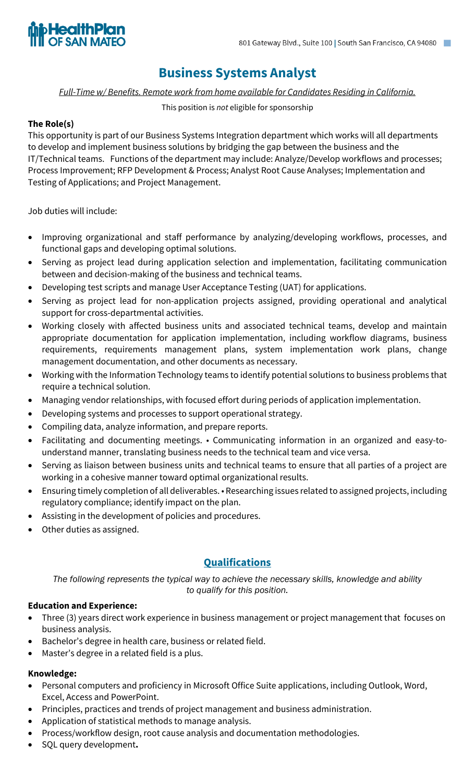

# **Business Systems Analyst**

*Full-Time w/ Benefits. Remote work from home available for Candidates Residing in California.*

### This position is *not* eligible for sponsorship

### **The Role(s)**

This opportunity is part of our Business Systems Integration department which works will all departments to develop and implement business solutions by bridging the gap between the business and the IT/Technical teams. Functions of the department may include: Analyze/Develop workflows and processes; Process Improvement; RFP Development & Process; Analyst Root Cause Analyses; Implementation and Testing of Applications; and Project Management.

Job duties will include:

- Improving organizational and staff performance by analyzing/developing workflows, processes, and functional gaps and developing optimal solutions.
- Serving as project lead during application selection and implementation, facilitating communication between and decision-making of the business and technical teams.
- Developing test scripts and manage User Acceptance Testing (UAT) for applications.
- Serving as project lead for non-application projects assigned, providing operational and analytical support for cross-departmental activities.
- Working closely with affected business units and associated technical teams, develop and maintain appropriate documentation for application implementation, including workflow diagrams, business requirements, requirements management plans, system implementation work plans, change management documentation, and other documents as necessary.
- Working with the Information Technology teams to identify potential solutions to business problems that require a technical solution.
- Managing vendor relationships, with focused effort during periods of application implementation.
- Developing systems and processes to support operational strategy.
- Compiling data, analyze information, and prepare reports.
- Facilitating and documenting meetings. Communicating information in an organized and easy-tounderstand manner, translating business needs to the technical team and vice versa.
- Serving as liaison between business units and technical teams to ensure that all parties of a project are working in a cohesive manner toward optimal organizational results.
- Ensuring timely completion of all deliverables. Researching issues related to assigned projects, including regulatory compliance; identify impact on the plan.
- Assisting in the development of policies and procedures.
- Other duties as assigned.

# **Qualifications**

*The following represents the typical way to achieve the necessary skills, knowledge and ability to qualify for this position.*

### **Education and Experience:**

- Three (3) years direct work experience in business management or project management that focuses on business analysis.
- Bachelor's degree in health care, business or related field.
- Master's degree in a related field is a plus.

### **Knowledge:**

- Personal computers and proficiency in Microsoft Office Suite applications, including Outlook, Word, Excel, Access and PowerPoint.
- Principles, practices and trends of project management and business administration.
- Application of statistical methods to manage analysis.
- Process/workflow design, root cause analysis and documentation methodologies.
- SQL query development**.**